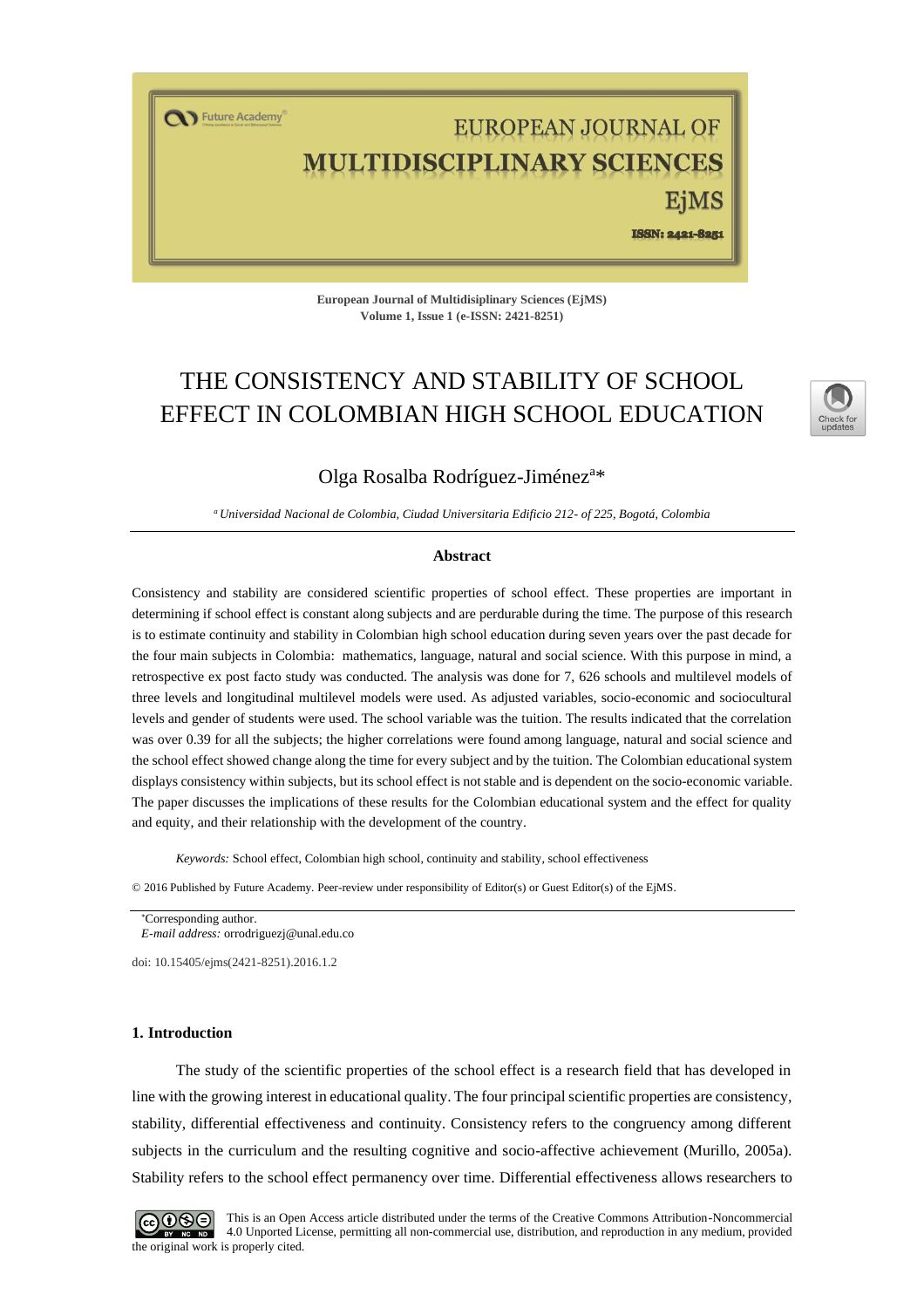T Future Academy

# EUROPEAN JOURNAL OF ULTIDISCIPLINARY SCIENCES EiMS

ISSN: 2421-8251

**European Journal of Multidisiplinary Sciences (EjMS) Volume 1, Issue 1 (e-ISSN: 2421-8251)**

# THE CONSISTENCY AND STABILITY OF SCHOOL EFFECT IN COLOMBIAN HIGH SCHOOL EDUCATION



# Olga Rosalba Rodríguez-Jiménez<sup>a\*</sup>

*<sup>a</sup>Universidad Nacional de Colombia, Ciudad Universitaria Edificio 212- of 225, Bogotá, Colombia* 

#### **Abstract**

Consistency and stability are considered scientific properties of school effect. These properties are important in determining if school effect is constant along subjects and are perdurable during the time. The purpose of this research is to estimate continuity and stability in Colombian high school education during seven years over the past decade for the four main subjects in Colombia: mathematics, language, natural and social science. With this purpose in mind, a retrospective ex post facto study was conducted. The analysis was done for 7, 626 schools and multilevel models of three levels and longitudinal multilevel models were used. As adjusted variables, socio-economic and sociocultural levels and gender of students were used. The school variable was the tuition. The results indicated that the correlation was over 0.39 for all the subjects; the higher correlations were found among language, natural and social science and the school effect showed change along the time for every subject and by the tuition. The Colombian educational system displays consistency within subjects, but its school effect is not stable and is dependent on the socio-economic variable. The paper discusses the implications of these results for the Colombian educational system and the effect for quality and equity, and their relationship with the development of the country.

*Keywords:* School effect, Colombian high school, continuity and stability, school effectiveness

© 2016 Published by Future Academy. Peer-review under responsibility of Editor(s) or Guest Editor(s) of the EjMS.

Corresponding author.

*E-mail address:* [orrodriguezj@unal.edu.co](mailto:orrodriguezj@unal.edu.co)

doi[: 10.15405/ejms\(2421-8251\).2016.1.2](https://doi.org/10.15405/ejms(2421-8251).2016.1.2)

#### **1. Introduction**

The study of the scientific properties of the school effect is a research field that has developed in line with the growing interest in educational quality. The four principal scientific properties are consistency, stability, differential effectiveness and continuity. Consistency refers to the congruency among different subjects in the curriculum and the resulting cognitive and socio-affective achievement (Murillo, 2005a). Stability refers to the school effect permanency over time. Differential effectiveness allows researchers to



This is an Open Access article distributed under the terms of the Creative Commons Attribution-Noncommercial 4.0 Unported License, permitting all non-commercial use, distribution, and reproduction in any medium, provided the original work is properly cited.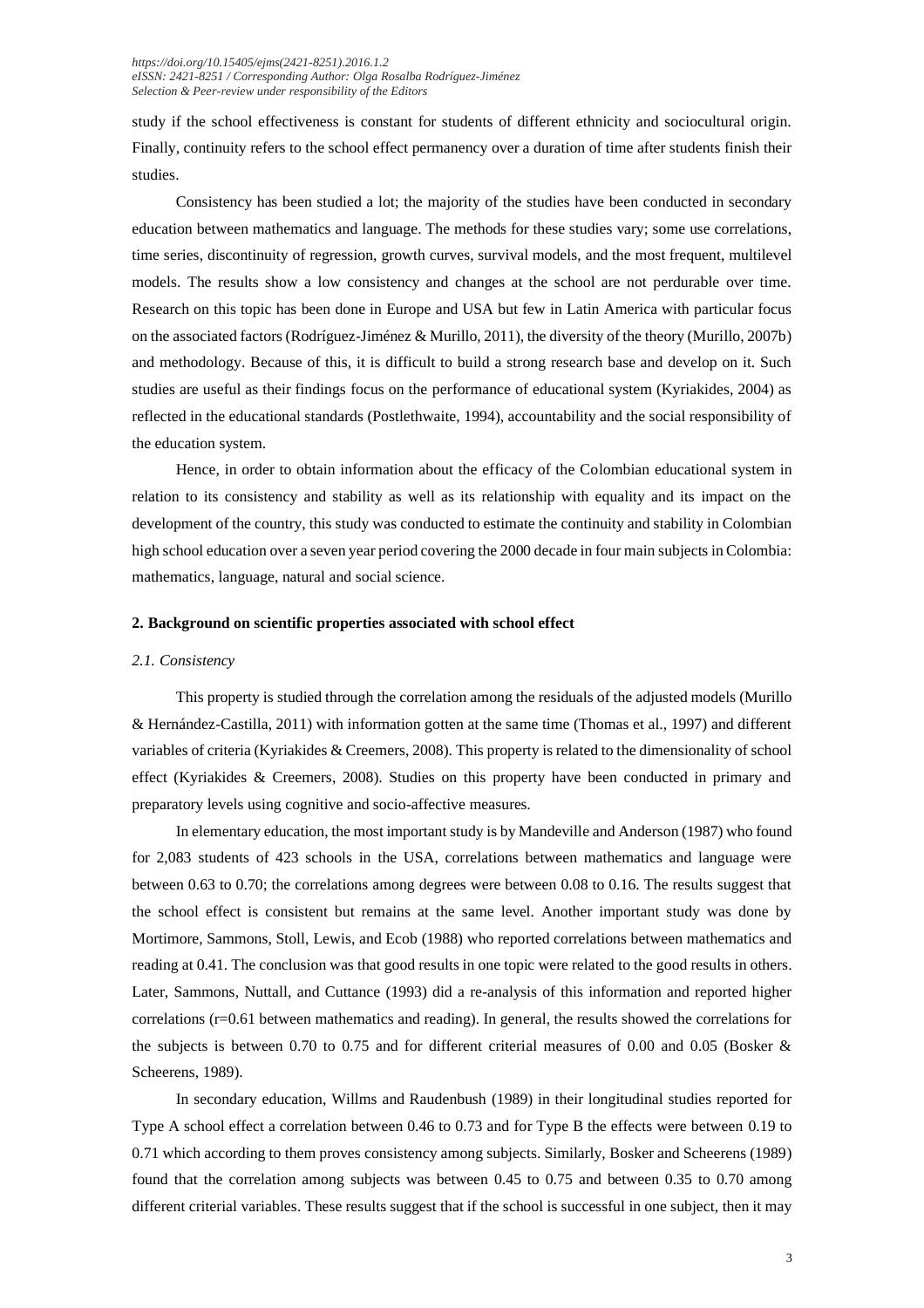study if the school effectiveness is constant for students of different ethnicity and sociocultural origin. Finally, continuity refers to the school effect permanency over a duration of time after students finish their studies.

Consistency has been studied a lot; the majority of the studies have been conducted in secondary education between mathematics and language. The methods for these studies vary; some use correlations, time series, discontinuity of regression, growth curves, survival models, and the most frequent, multilevel models. The results show a low consistency and changes at the school are not perdurable over time. Research on this topic has been done in Europe and USA but few in Latin America with particular focus on the associated factors (Rodríguez-Jiménez & Murillo, 2011), the diversity of the theory (Murillo, 2007b) and methodology. Because of this, it is difficult to build a strong research base and develop on it. Such studies are useful as their findings focus on the performance of educational system (Kyriakides, 2004) as reflected in the educational standards (Postlethwaite, 1994), accountability and the social responsibility of the education system.

Hence, in order to obtain information about the efficacy of the Colombian educational system in relation to its consistency and stability as well as its relationship with equality and its impact on the development of the country, this study was conducted to estimate the continuity and stability in Colombian high school education over a seven year period covering the 2000 decade in four main subjects in Colombia: mathematics, language, natural and social science.

#### **2. Background on scientific properties associated with school effect**

# *2.1. Consistency*

This property is studied through the correlation among the residuals of the adjusted models (Murillo & Hernández-Castilla, 2011) with information gotten at the same time (Thomas et al., 1997) and different variables of criteria (Kyriakides & Creemers, 2008). This property is related to the dimensionality of school effect (Kyriakides & Creemers, 2008). Studies on this property have been conducted in primary and preparatory levels using cognitive and socio-affective measures.

In elementary education, the most important study is by Mandeville and Anderson (1987) who found for 2,083 students of 423 schools in the USA, correlations between mathematics and language were between 0.63 to 0.70; the correlations among degrees were between 0.08 to 0.16. The results suggest that the school effect is consistent but remains at the same level. Another important study was done by Mortimore, Sammons, Stoll, Lewis, and Ecob (1988) who reported correlations between mathematics and reading at 0.41. The conclusion was that good results in one topic were related to the good results in others. Later, Sammons, Nuttall, and Cuttance (1993) did a re-analysis of this information and reported higher correlations  $(r=0.61)$  between mathematics and reading). In general, the results showed the correlations for the subjects is between 0.70 to 0.75 and for different criterial measures of 0.00 and 0.05 (Bosker & Scheerens, 1989).

In secondary education, Willms and Raudenbush (1989) in their longitudinal studies reported for Type A school effect a correlation between 0.46 to 0.73 and for Type B the effects were between 0.19 to 0.71 which according to them proves consistency among subjects. Similarly, Bosker and Scheerens (1989) found that the correlation among subjects was between 0.45 to 0.75 and between 0.35 to 0.70 among different criterial variables. These results suggest that if the school is successful in one subject, then it may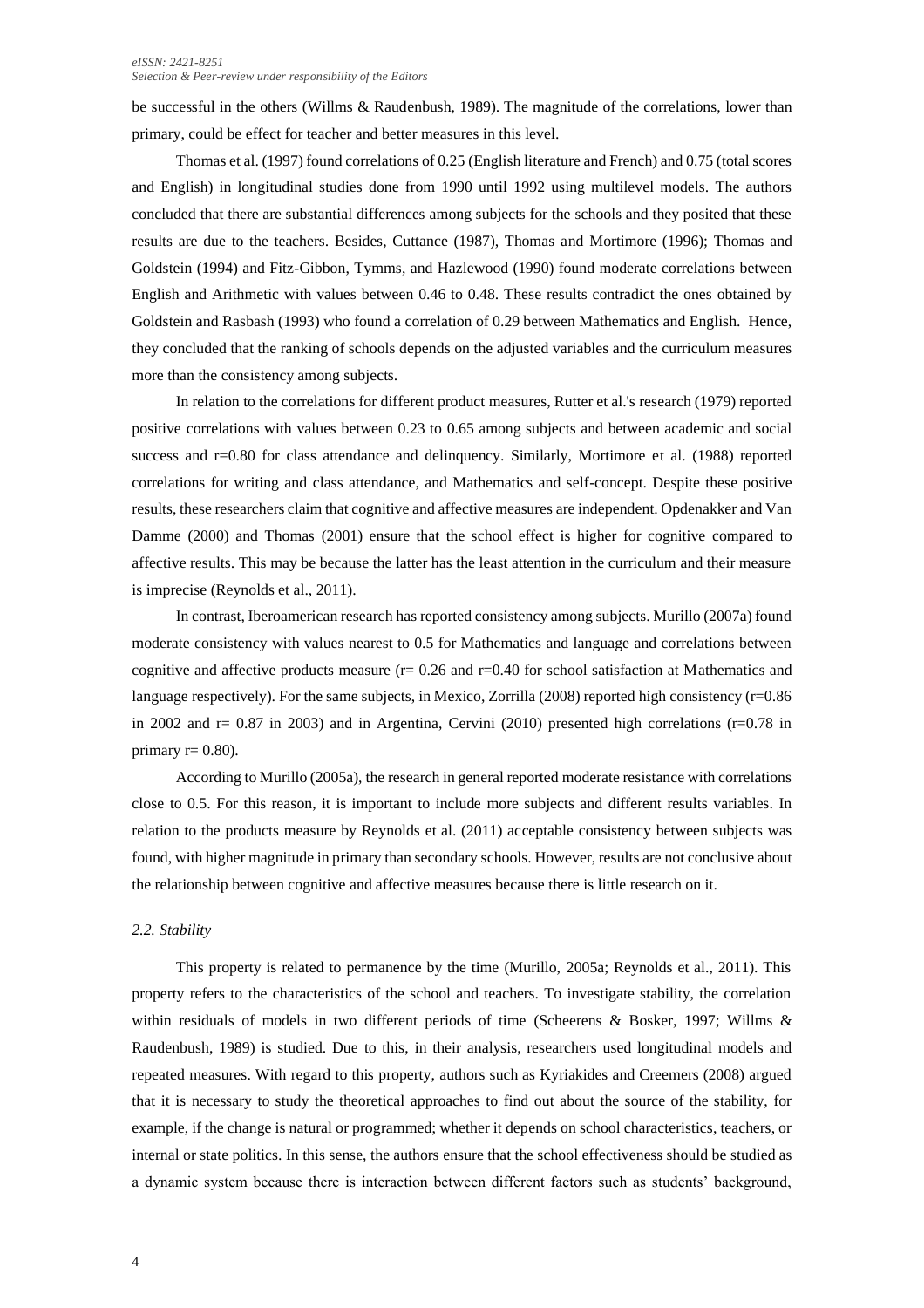#### *eISSN: 2421-8251 Selection & Peer-review under responsibility of the Editors*

be successful in the others (Willms & Raudenbush, 1989). The magnitude of the correlations, lower than primary, could be effect for teacher and better measures in this level.

Thomas et al. (1997) found correlations of 0.25 (English literature and French) and 0.75 (total scores and English) in longitudinal studies done from 1990 until 1992 using multilevel models. The authors concluded that there are substantial differences among subjects for the schools and they posited that these results are due to the teachers. Besides, Cuttance (1987), Thomas and Mortimore (1996); Thomas and Goldstein (1994) and Fitz-Gibbon, Tymms, and Hazlewood (1990) found moderate correlations between English and Arithmetic with values between 0.46 to 0.48. These results contradict the ones obtained by Goldstein and Rasbash (1993) who found a correlation of 0.29 between Mathematics and English. Hence, they concluded that the ranking of schools depends on the adjusted variables and the curriculum measures more than the consistency among subjects.

In relation to the correlations for different product measures, Rutter et al.'s research (1979) reported positive correlations with values between 0.23 to 0.65 among subjects and between academic and social success and r=0.80 for class attendance and delinquency. Similarly, Mortimore et al. (1988) reported correlations for writing and class attendance, and Mathematics and self-concept. Despite these positive results, these researchers claim that cognitive and affective measures are independent. Opdenakker and Van Damme (2000) and Thomas (2001) ensure that the school effect is higher for cognitive compared to affective results. This may be because the latter has the least attention in the curriculum and their measure is imprecise (Reynolds et al., 2011).

In contrast, Iberoamerican research has reported consistency among subjects. Murillo (2007a) found moderate consistency with values nearest to 0.5 for Mathematics and language and correlations between cognitive and affective products measure ( $r= 0.26$  and  $r=0.40$  for school satisfaction at Mathematics and language respectively). For the same subjects, in Mexico, Zorrilla (2008) reported high consistency (r=0.86 in 2002 and  $r= 0.87$  in 2003) and in Argentina, Cervini (2010) presented high correlations ( $r=0.78$  in primary  $r= 0.80$ ).

According to Murillo (2005a), the research in general reported moderate resistance with correlations close to 0.5. For this reason, it is important to include more subjects and different results variables. In relation to the products measure by Reynolds et al. (2011) acceptable consistency between subjects was found, with higher magnitude in primary than secondary schools. However, results are not conclusive about the relationship between cognitive and affective measures because there is little research on it.

#### *2.2. Stability*

This property is related to permanence by the time (Murillo, 2005a; Reynolds et al., 2011). This property refers to the characteristics of the school and teachers. To investigate stability, the correlation within residuals of models in two different periods of time (Scheerens & Bosker, 1997; Willms & Raudenbush, 1989) is studied. Due to this, in their analysis, researchers used longitudinal models and repeated measures. With regard to this property, authors such as Kyriakides and Creemers (2008) argued that it is necessary to study the theoretical approaches to find out about the source of the stability, for example, if the change is natural or programmed; whether it depends on school characteristics, teachers, or internal or state politics. In this sense, the authors ensure that the school effectiveness should be studied as a dynamic system because there is interaction between different factors such as students' background,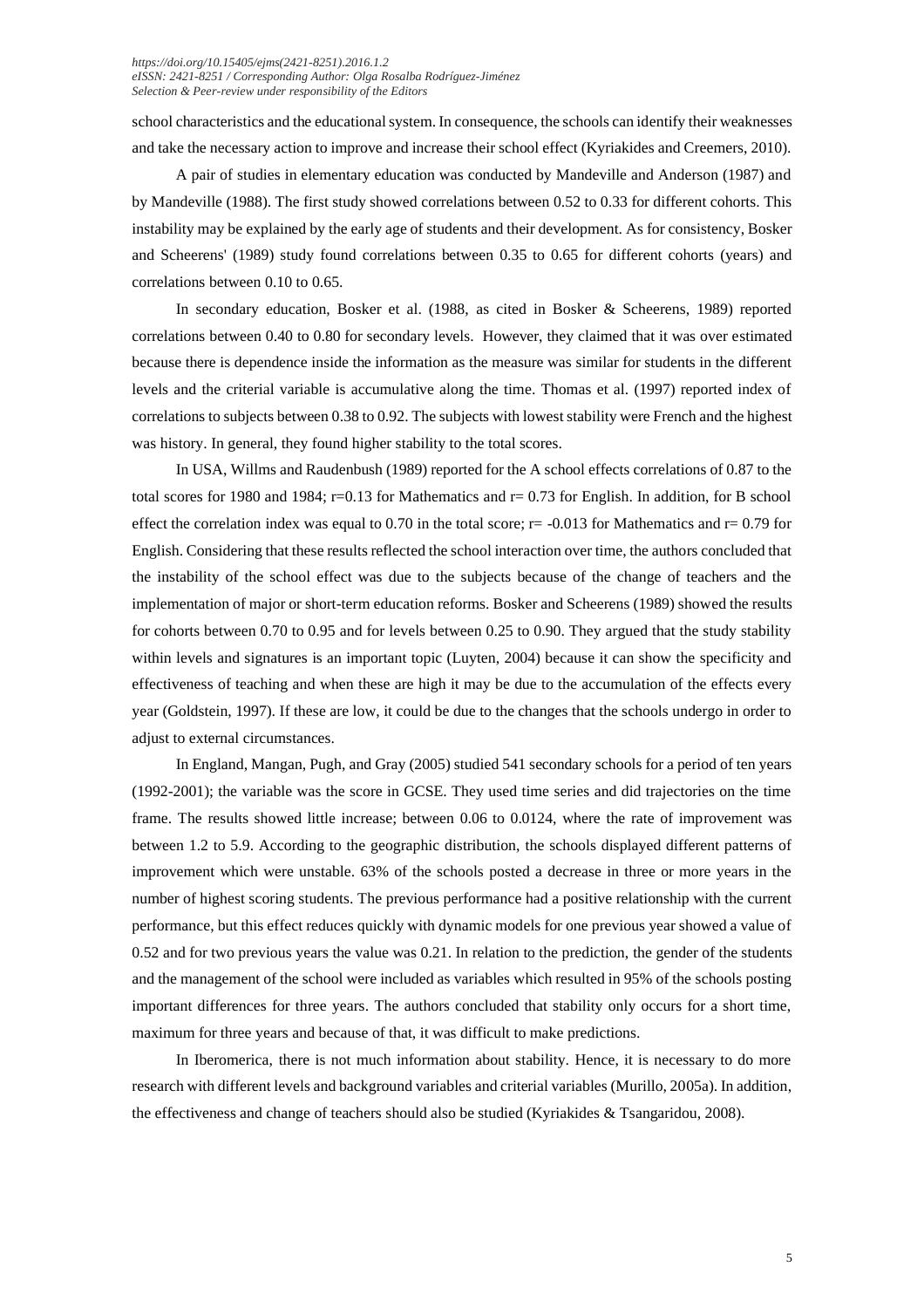school characteristics and the educational system. In consequence, the schools can identify their weaknesses and take the necessary action to improve and increase their school effect (Kyriakides and Creemers, 2010).

A pair of studies in elementary education was conducted by Mandeville and Anderson (1987) and by Mandeville (1988). The first study showed correlations between 0.52 to 0.33 for different cohorts. This instability may be explained by the early age of students and their development. As for consistency, Bosker and Scheerens' (1989) study found correlations between 0.35 to 0.65 for different cohorts (years) and correlations between 0.10 to 0.65.

In secondary education, Bosker et al. (1988, as cited in Bosker & Scheerens, 1989) reported correlations between 0.40 to 0.80 for secondary levels. However, they claimed that it was over estimated because there is dependence inside the information as the measure was similar for students in the different levels and the criterial variable is accumulative along the time. Thomas et al. (1997) reported index of correlations to subjects between 0.38 to 0.92. The subjects with lowest stability were French and the highest was history. In general, they found higher stability to the total scores.

In USA, Willms and Raudenbush (1989) reported for the A school effects correlations of 0.87 to the total scores for 1980 and 1984;  $r=0.13$  for Mathematics and  $r=0.73$  for English. In addition, for B school effect the correlation index was equal to 0.70 in the total score;  $r = -0.013$  for Mathematics and  $r = 0.79$  for English. Considering that these results reflected the school interaction over time, the authors concluded that the instability of the school effect was due to the subjects because of the change of teachers and the implementation of major or short-term education reforms. Bosker and Scheerens (1989) showed the results for cohorts between 0.70 to 0.95 and for levels between 0.25 to 0.90. They argued that the study stability within levels and signatures is an important topic (Luyten, 2004) because it can show the specificity and effectiveness of teaching and when these are high it may be due to the accumulation of the effects every year (Goldstein, 1997). If these are low, it could be due to the changes that the schools undergo in order to adjust to external circumstances.

In England, Mangan, Pugh, and Gray (2005) studied 541 secondary schools for a period of ten years (1992-2001); the variable was the score in GCSE. They used time series and did trajectories on the time frame. The results showed little increase; between 0.06 to 0.0124, where the rate of improvement was between 1.2 to 5.9. According to the geographic distribution, the schools displayed different patterns of improvement which were unstable. 63% of the schools posted a decrease in three or more years in the number of highest scoring students. The previous performance had a positive relationship with the current performance, but this effect reduces quickly with dynamic models for one previous year showed a value of 0.52 and for two previous years the value was 0.21. In relation to the prediction, the gender of the students and the management of the school were included as variables which resulted in 95% of the schools posting important differences for three years. The authors concluded that stability only occurs for a short time, maximum for three years and because of that, it was difficult to make predictions.

In Iberomerica, there is not much information about stability. Hence, it is necessary to do more research with different levels and background variables and criterial variables (Murillo, 2005a). In addition, the effectiveness and change of teachers should also be studied (Kyriakides & Tsangaridou, 2008).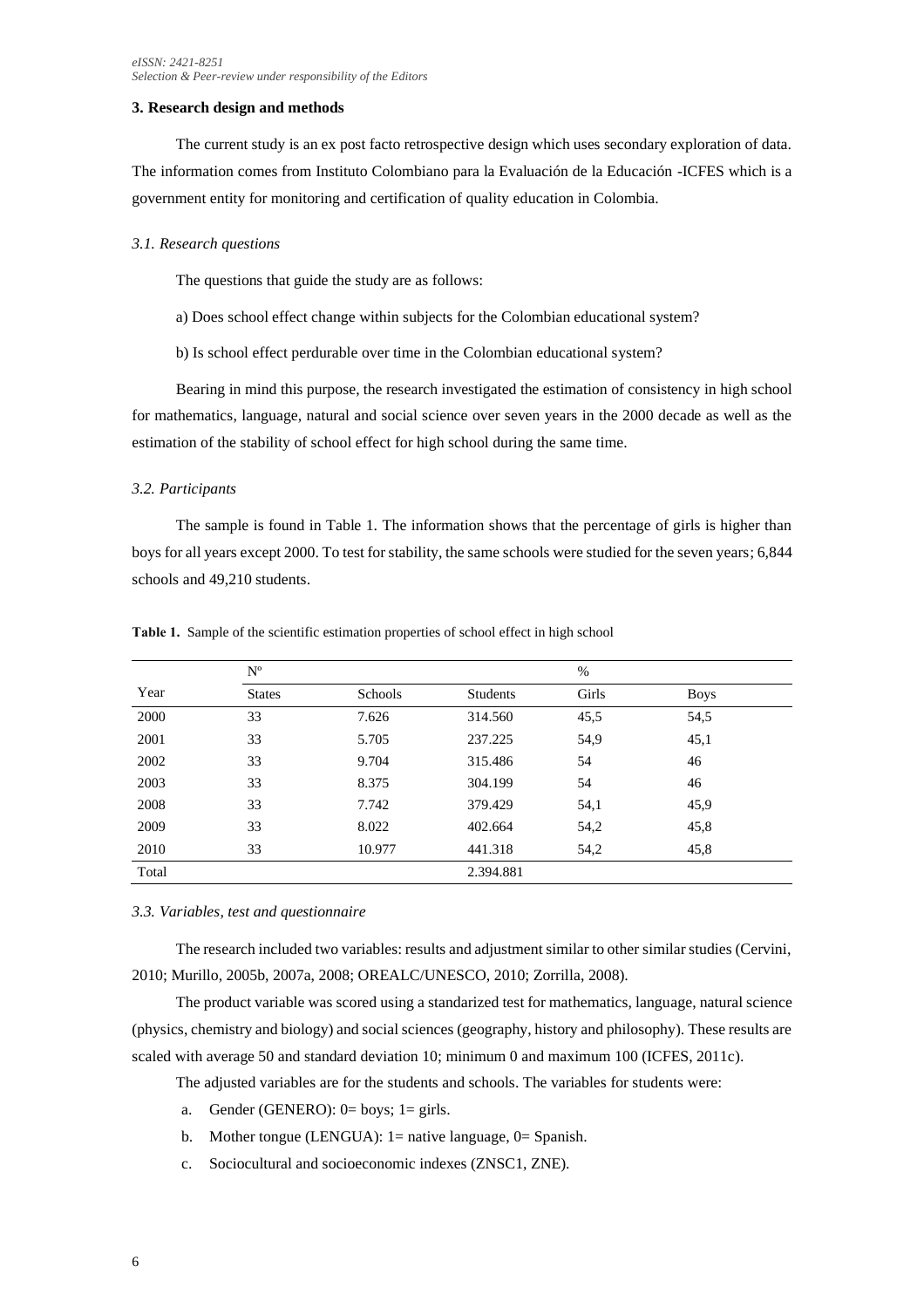### **3. Research design and methods**

The current study is an ex post facto retrospective design which uses secondary exploration of data. The information comes from Instituto Colombiano para la Evaluación de la Educación -ICFES which is a government entity for monitoring and certification of quality education in Colombia.

### *3.1. Research questions*

The questions that guide the study are as follows:

- a) Does school effect change within subjects for the Colombian educational system?
- b) Is school effect perdurable over time in the Colombian educational system?

Bearing in mind this purpose, the research investigated the estimation of consistency in high school for mathematics, language, natural and social science over seven years in the 2000 decade as well as the estimation of the stability of school effect for high school during the same time.

#### *3.2. Participants*

The sample is found in Table 1. The information shows that the percentage of girls is higher than boys for all years except 2000. To test for stability, the same schools were studied for the seven years; 6,844 schools and 49,210 students.

| Year  | $N^{\circ}$   |         | %               |       |             |  |
|-------|---------------|---------|-----------------|-------|-------------|--|
|       | <b>States</b> | Schools | <b>Students</b> | Girls | <b>Boys</b> |  |
| 2000  | 33            | 7.626   | 314.560         | 45,5  | 54,5        |  |
| 2001  | 33            | 5.705   | 237.225         | 54,9  | 45,1        |  |
| 2002  | 33            | 9.704   | 315.486         | 54    | 46          |  |
| 2003  | 33            | 8.375   | 304.199         | 54    | 46          |  |
| 2008  | 33            | 7.742   | 379.429         | 54,1  | 45,9        |  |
| 2009  | 33            | 8.022   | 402.664         | 54,2  | 45,8        |  |
| 2010  | 33            | 10.977  | 441.318         | 54,2  | 45,8        |  |
| Total |               |         | 2.394.881       |       |             |  |

**Table 1.** Sample of the scientific estimation properties of school effect in high school

## *3.3. Variables, test and questionnaire*

The research included two variables: results and adjustment similar to other similar studies (Cervini, 2010; Murillo, 2005b, 2007a, 2008; OREALC/UNESCO, 2010; Zorrilla, 2008).

The product variable was scored using a standarized test for mathematics, language, natural science (physics, chemistry and biology) and social sciences (geography, history and philosophy). These results are scaled with average 50 and standard deviation 10; minimum 0 and maximum 100 (ICFES, 2011c).

The adjusted variables are for the students and schools. The variables for students were:

- a. Gender (GENERO):  $0=$  boys;  $1=$  girls.
- b. Mother tongue (LENGUA): 1= native language, 0= Spanish.
- c. Sociocultural and socioeconomic indexes (ZNSC1, ZNE).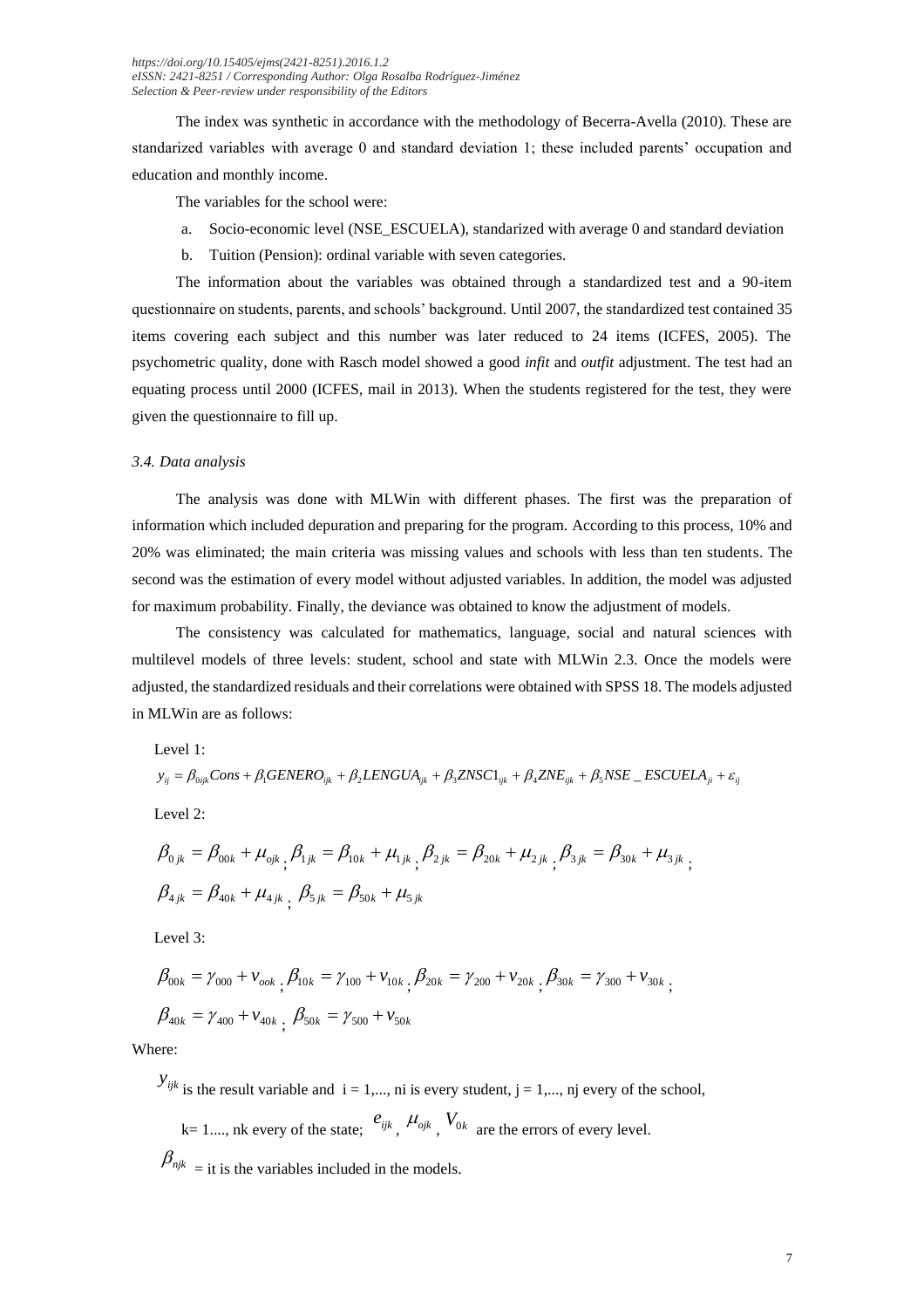The index was synthetic in accordance with the methodology of Becerra-Avella (2010). These are standarized variables with average 0 and standard deviation 1; these included parents' occupation and education and monthly income.

The variables for the school were:

- a. Socio-economic level (NSE\_ESCUELA), standarized with average 0 and standard deviation
- b. Tuition (Pension): ordinal variable with seven categories.

The information about the variables was obtained through a standardized test and a 90-item questionnaire on students, parents, and schools' background. Until 2007, the standardized test contained 35 items covering each subject and this number was later reduced to 24 items (ICFES, 2005). The psychometric quality, done with Rasch model showed a good *infit* and *outfit* adjustment. The test had an equating process until 2000 (ICFES, mail in 2013). When the students registered for the test, they were given the questionnaire to fill up.

#### *3.4. Data analysis*

The analysis was done with MLWin with different phases. The first was the preparation of information which included depuration and preparing for the program. According to this process, 10% and 20% was eliminated; the main criteria was missing values and schools with less than ten students. The second was the estimation of every model without adjusted variables. In addition, the model was adjusted for maximum probability. Finally, the deviance was obtained to know the adjustment of models.

The consistency was calculated for mathematics, language, social and natural sciences with multilevel models of three levels: student, school and state with MLWin 2.3. Once the models were adjusted, the standardized residuals and their correlations were obtained with SPSS 18. The models adjusted in MLWin are as follows:

Level 1:

$$
y_{ij} = \beta_{0ijk} Const + \beta_1 GENERO_{ijk} + \beta_2 LENGUA_{ijk} + \beta_3 ZNSCI_{ijk} + \beta_4 ZNE_{ijk} + \beta_5 NSE \_ ESCUELA_{ji} + \varepsilon_{ij}
$$
  
Level 2:

$$
\beta_{0jk} = \beta_{00k} + \mu_{0jk} \beta_{1jk} = \beta_{10k} + \mu_{1jk} \beta_{2jk} = \beta_{20k} + \mu_{2jk} \beta_{3jk} = \beta_{30k} + \mu_{3jk} \beta_{3jk}
$$
  

$$
\beta_{4jk} = \beta_{40k} + \mu_{4jk} \beta_{5jk} = \beta_{50k} + \mu_{5jk}
$$

Level 3:

$$
\beta_{00k} = \gamma_{000} + \nu_{ook}, \beta_{10k} = \gamma_{100} + \nu_{10k}, \beta_{20k} = \gamma_{200} + \nu_{20k}, \beta_{30k} = \gamma_{300} + \nu_{30k},
$$
  

$$
\beta_{40k} = \gamma_{400} + \nu_{40k}, \beta_{50k} = \gamma_{500} + \nu_{50k}
$$

Where:

 $y_{ijk}$  is the result variable and  $i = 1,..., n$  is every student,  $j = 1,..., n$  every of the school,

 $k=1,...,$  nk every of the state;  $e_{ijk}$ ,  $\mu_{ojk}$ ,  $V_{0k}$  are the errors of every level.

 $\beta_{ijk}$  = it is the variables included in the models.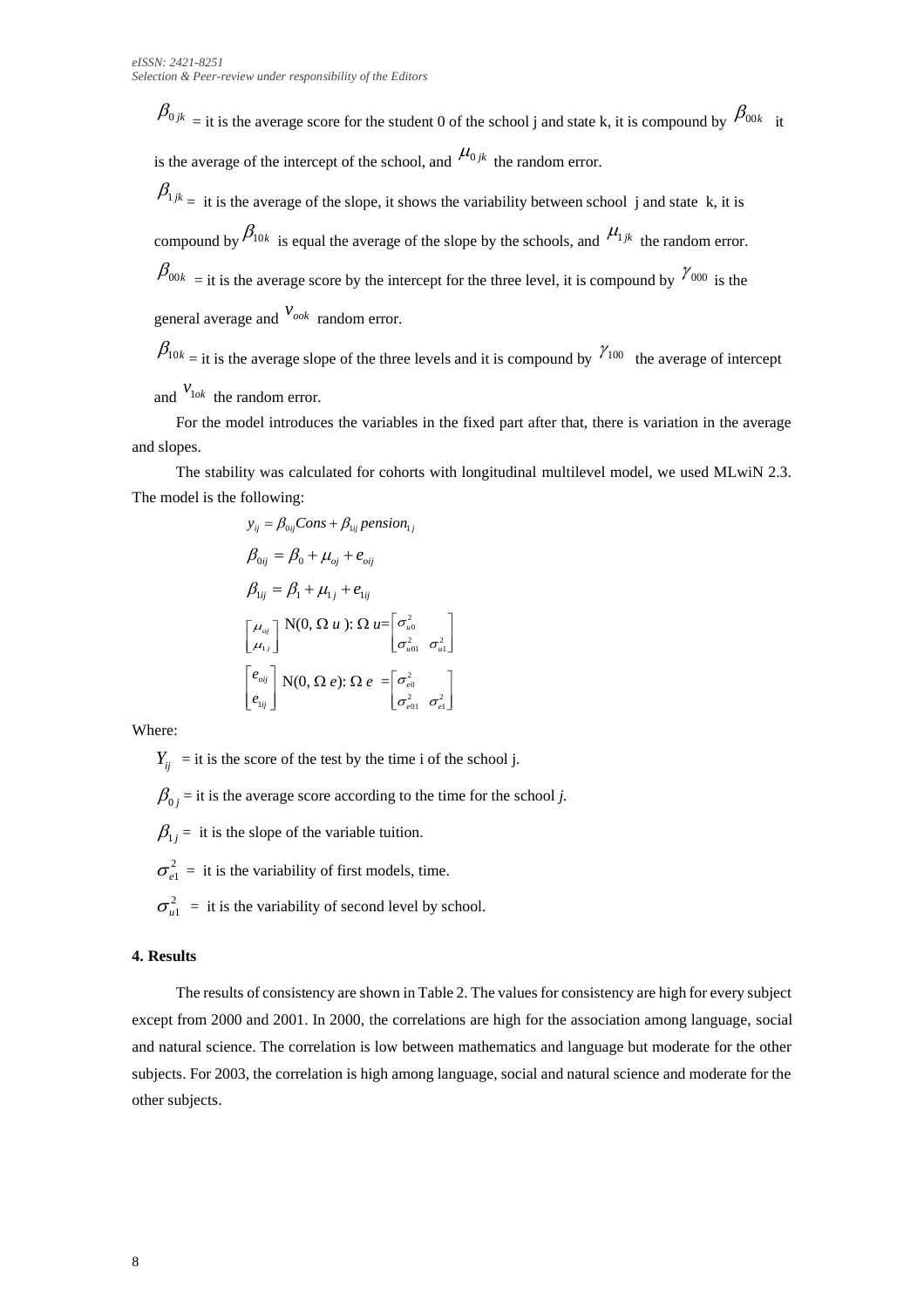$\beta_{0jk}$  = it is the average score for the student 0 of the school j and state k, it is compound by  $\beta_{00k}$  it is the average of the intercept of the school, and  $\mu_{0jk}$  the random error.

 $\beta_{1jk}$  = it is the average of the slope, it shows the variability between school j and state k, it is compound by  $\beta_{10k}$  is equal the average of the slope by the schools, and  $\mu_{1jk}$  the random error.  $\beta_{00k}$  = it is the average score by the intercept for the three level, it is compound by  $\gamma_{000}$  is the general average and  $v_{ook}$  random error.

 $\beta_{10k}$  = it is the average slope of the three levels and it is compound by  $\gamma_{100}$  the average of intercept and  $v_{\text{1ok}}$  the random error.

For the model introduces the variables in the fixed part after that, there is variation in the average and slopes.

The stability was calculated for cohorts with longitudinal multilevel model, we used MLwiN 2.3. The model is the following:

$$
y_{ij} = \beta_{0ij} Const + \beta_{1ij} pension_{1j}
$$
  
\n
$$
\beta_{0ij} = \beta_0 + \mu_{oj} + e_{oj}
$$
  
\n
$$
\beta_{1ij} = \beta_1 + \mu_{1j} + e_{1ij}
$$
  
\n
$$
\begin{bmatrix} \mu_{oj} \\ \mu_{1j} \end{bmatrix} N(0, \Omega u): \Omega u = \begin{bmatrix} \sigma_{u0}^2 \\ \sigma_{u01}^2 & \sigma_{u1}^2 \end{bmatrix}
$$
  
\n
$$
\begin{bmatrix} e_{oj} \\ e_{1ij} \end{bmatrix} N(0, \Omega e): \Omega e = \begin{bmatrix} \sigma_{e0}^2 \\ \sigma_{e01}^2 & \sigma_{e1}^2 \end{bmatrix}
$$

Where:

 $Y_{ij}$  = it is the score of the test by the time i of the school j.

 $\beta_{0j}$  = it is the average score according to the time for the school *j*.

 $\beta_{1j}$  = it is the slope of the variable tuition.

 $\sigma_{el}^2$  = it is the variability of first models, time.

 $\sigma_{u1}^2$  = it is the variability of second level by school.

# **4. Results**

The results of consistency are shown in Table 2. The values for consistency are high for every subject except from 2000 and 2001. In 2000, the correlations are high for the association among language, social and natural science. The correlation is low between mathematics and language but moderate for the other subjects. For 2003, the correlation is high among language, social and natural science and moderate for the other subjects.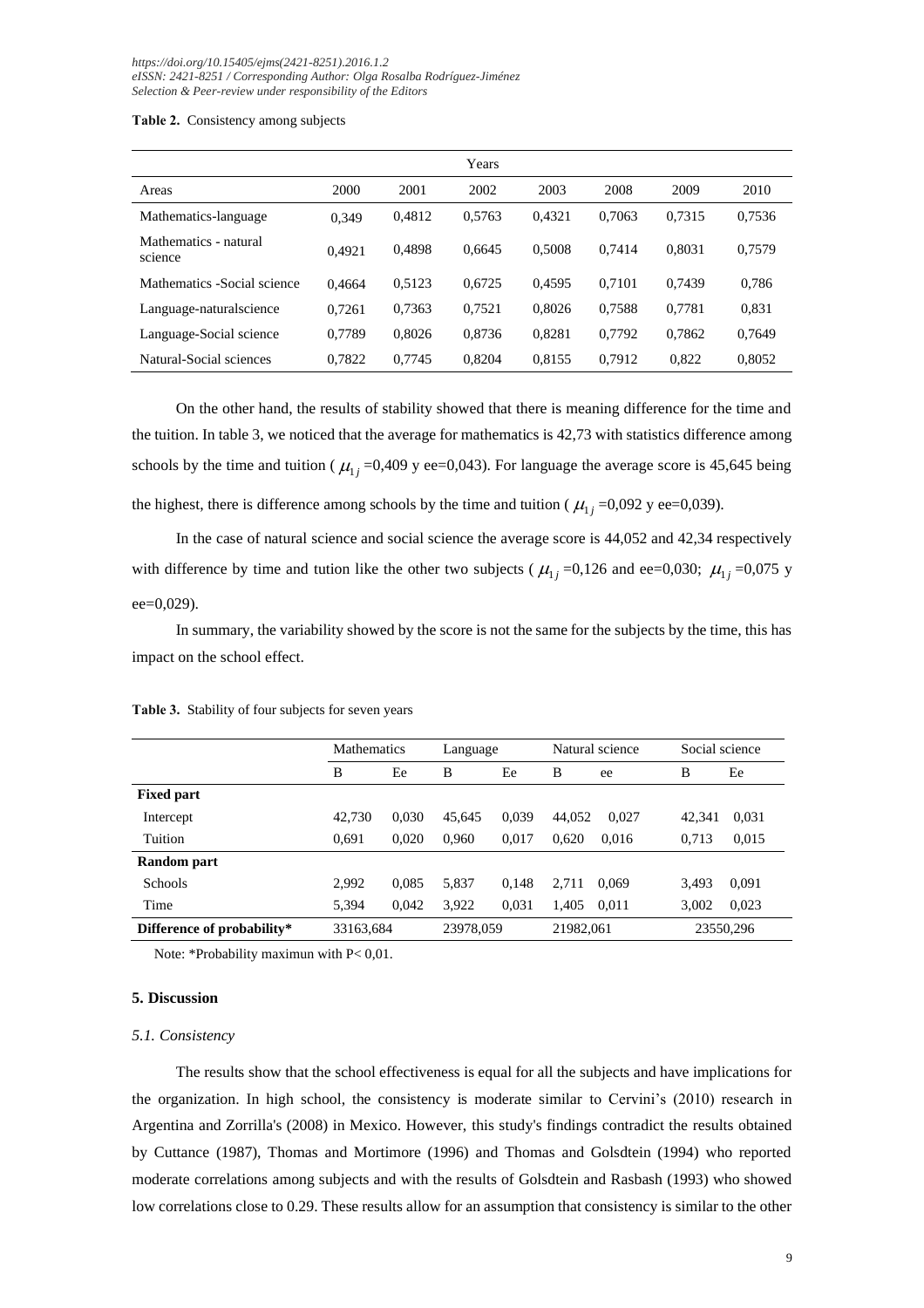**Table 2.** Consistency among subjects

|                                  |        |        | Years  |        |        |        |        |
|----------------------------------|--------|--------|--------|--------|--------|--------|--------|
| Areas                            | 2000   | 2001   | 2002   | 2003   | 2008   | 2009   | 2010   |
| Mathematics-language             | 0.349  | 0,4812 | 0,5763 | 0.4321 | 0.7063 | 0.7315 | 0,7536 |
| Mathematics - natural<br>science | 0.4921 | 0.4898 | 0.6645 | 0.5008 | 0.7414 | 0.8031 | 0.7579 |
| Mathematics - Social science     | 0.4664 | 0.5123 | 0.6725 | 0.4595 | 0.7101 | 0.7439 | 0.786  |
| Language-natural science         | 0,7261 | 0,7363 | 0,7521 | 0.8026 | 0.7588 | 0.7781 | 0,831  |
| Language-Social science          | 0,7789 | 0.8026 | 0.8736 | 0,8281 | 0.7792 | 0.7862 | 0,7649 |
| Natural-Social sciences          | 0,7822 | 0.7745 | 0.8204 | 0.8155 | 0.7912 | 0,822  | 0.8052 |

On the other hand, the results of stability showed that there is meaning difference for the time and the tuition. In table 3, we noticed that the average for mathematics is 42,73 with statistics difference among schools by the time and tuition ( $\mu_{1j}$ =0,409 y ee=0,043). For language the average score is 45,645 being the highest, there is difference among schools by the time and tuition ( $\mu_{1j}$  =0,092 y ee=0,039).

In the case of natural science and social science the average score is 44,052 and 42,34 respectively with difference by time and tution like the other two subjects ( $\mu_{1j}$ =0,126 and ee=0,030;  $\mu_{1j}$ =0,075 y ee=0,029).

In summary, the variability showed by the score is not the same for the subjects by the time, this has impact on the school effect.

|                                         | <b>Mathematics</b> |           | Language |           | Natural science |           | Social science |       |
|-----------------------------------------|--------------------|-----------|----------|-----------|-----------------|-----------|----------------|-------|
|                                         | B                  | Ee        | B        | Ee        | B               | ee        | B              | Ee    |
| <b>Fixed part</b>                       |                    |           |          |           |                 |           |                |       |
| Intercept                               | 42,730             | 0.030     | 45,645   | 0.039     | 44.052          | 0.027     | 42.341         | 0.031 |
| Tuition                                 | 0.691              | 0.020     | 0.960    | 0.017     | 0.620           | 0.016     | 0.713          | 0,015 |
| Random part                             |                    |           |          |           |                 |           |                |       |
| <b>Schools</b>                          | 2,992              | 0.085     | 5,837    | 0.148     | 2.711           | 0.069     | 3.493          | 0.091 |
| Time                                    | 5.394              | 0.042     | 3,922    | 0,031     | 1.405           | 0.011     | 3,002          | 0,023 |
| Difference of probability*<br>33163,684 |                    | 23978,059 |          | 21982,061 |                 | 23550,296 |                |       |

**Table 3.** Stability of four subjects for seven years

Note: \*Probability maximun with P< 0,01.

## **5. Discussion**

#### *5.1. Consistency*

The results show that the school effectiveness is equal for all the subjects and have implications for the organization. In high school, the consistency is moderate similar to Cervini's (2010) research in Argentina and Zorrilla's (2008) in Mexico. However, this study's findings contradict the results obtained by Cuttance (1987), Thomas and Mortimore (1996) and Thomas and Golsdtein (1994) who reported moderate correlations among subjects and with the results of Golsdtein and Rasbash (1993) who showed low correlations close to 0.29. These results allow for an assumption that consistency is similar to the other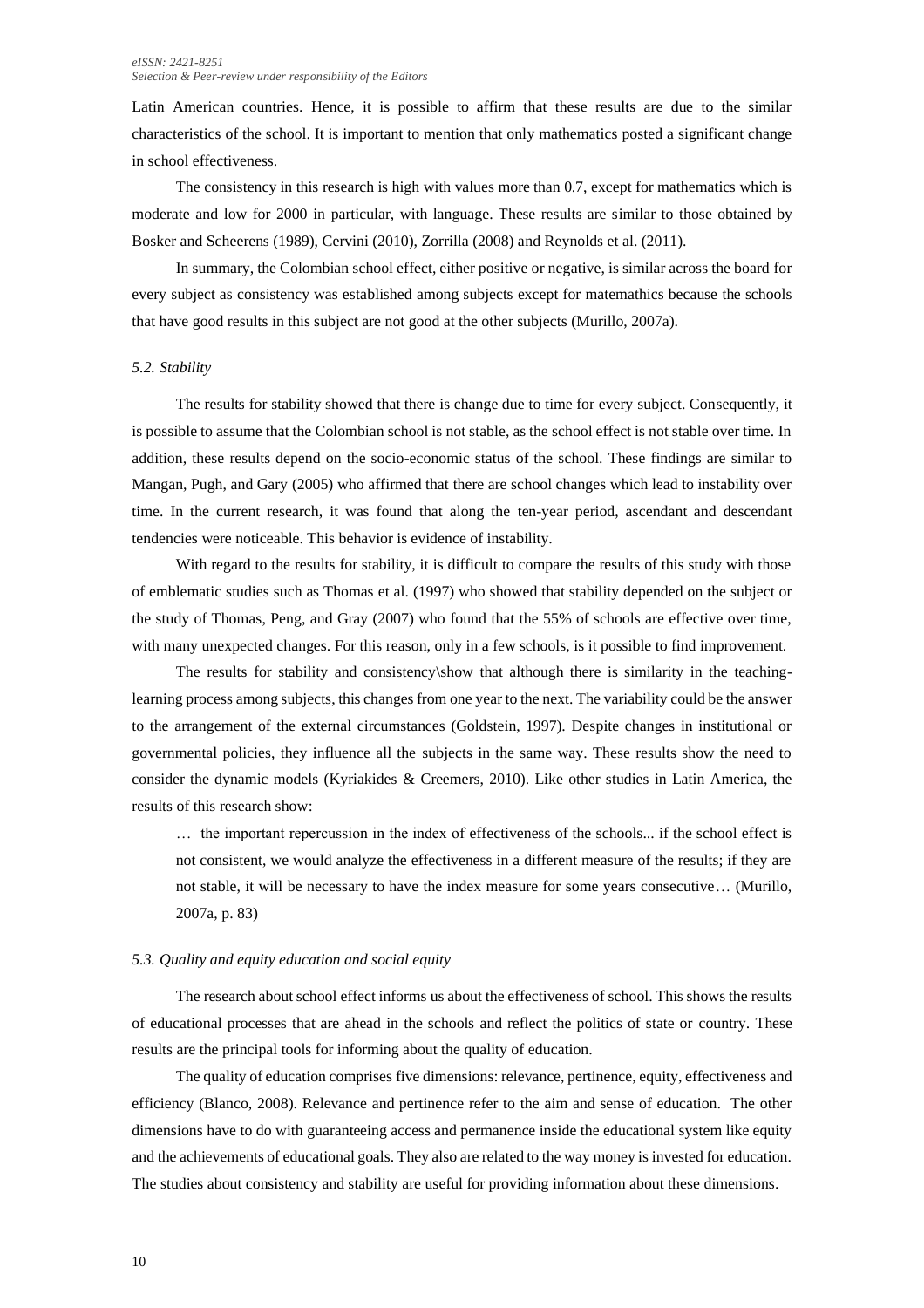#### *eISSN: 2421-8251 Selection & Peer-review under responsibility of the Editors*

Latin American countries. Hence, it is possible to affirm that these results are due to the similar characteristics of the school. It is important to mention that only mathematics posted a significant change in school effectiveness.

The consistency in this research is high with values more than 0.7, except for mathematics which is moderate and low for 2000 in particular, with language. These results are similar to those obtained by Bosker and Scheerens (1989), Cervini (2010), Zorrilla (2008) and Reynolds et al. (2011).

In summary, the Colombian school effect, either positive or negative, is similar across the board for every subject as consistency was established among subjects except for matemathics because the schools that have good results in this subject are not good at the other subjects (Murillo, 2007a).

# *5.2. Stability*

The results for stability showed that there is change due to time for every subject. Consequently, it is possible to assume that the Colombian school is not stable, as the school effect is not stable over time. In addition, these results depend on the socio-economic status of the school. These findings are similar to Mangan, Pugh, and Gary (2005) who affirmed that there are school changes which lead to instability over time. In the current research, it was found that along the ten-year period, ascendant and descendant tendencies were noticeable. This behavior is evidence of instability.

With regard to the results for stability, it is difficult to compare the results of this study with those of emblematic studies such as Thomas et al. (1997) who showed that stability depended on the subject or the study of Thomas, Peng, and Gray (2007) who found that the 55% of schools are effective over time, with many unexpected changes. For this reason, only in a few schools, is it possible to find improvement.

The results for stability and consistency\show that although there is similarity in the teachinglearning process among subjects, this changes from one year to the next. The variability could be the answer to the arrangement of the external circumstances (Goldstein, 1997). Despite changes in institutional or governmental policies, they influence all the subjects in the same way. These results show the need to consider the dynamic models (Kyriakides & Creemers, 2010). Like other studies in Latin America, the results of this research show:

… the important repercussion in the index of effectiveness of the schools... if the school effect is not consistent, we would analyze the effectiveness in a different measure of the results; if they are not stable, it will be necessary to have the index measure for some years consecutive… (Murillo, 2007a, p. 83)

#### *5.3. Quality and equity education and social equity*

The research about school effect informs us about the effectiveness of school. This shows the results of educational processes that are ahead in the schools and reflect the politics of state or country. These results are the principal tools for informing about the quality of education.

The quality of education comprises five dimensions: relevance, pertinence, equity, effectiveness and efficiency (Blanco, 2008). Relevance and pertinence refer to the aim and sense of education. The other dimensions have to do with guaranteeing access and permanence inside the educational system like equity and the achievements of educational goals. They also are related to the way money is invested for education. The studies about consistency and stability are useful for providing information about these dimensions.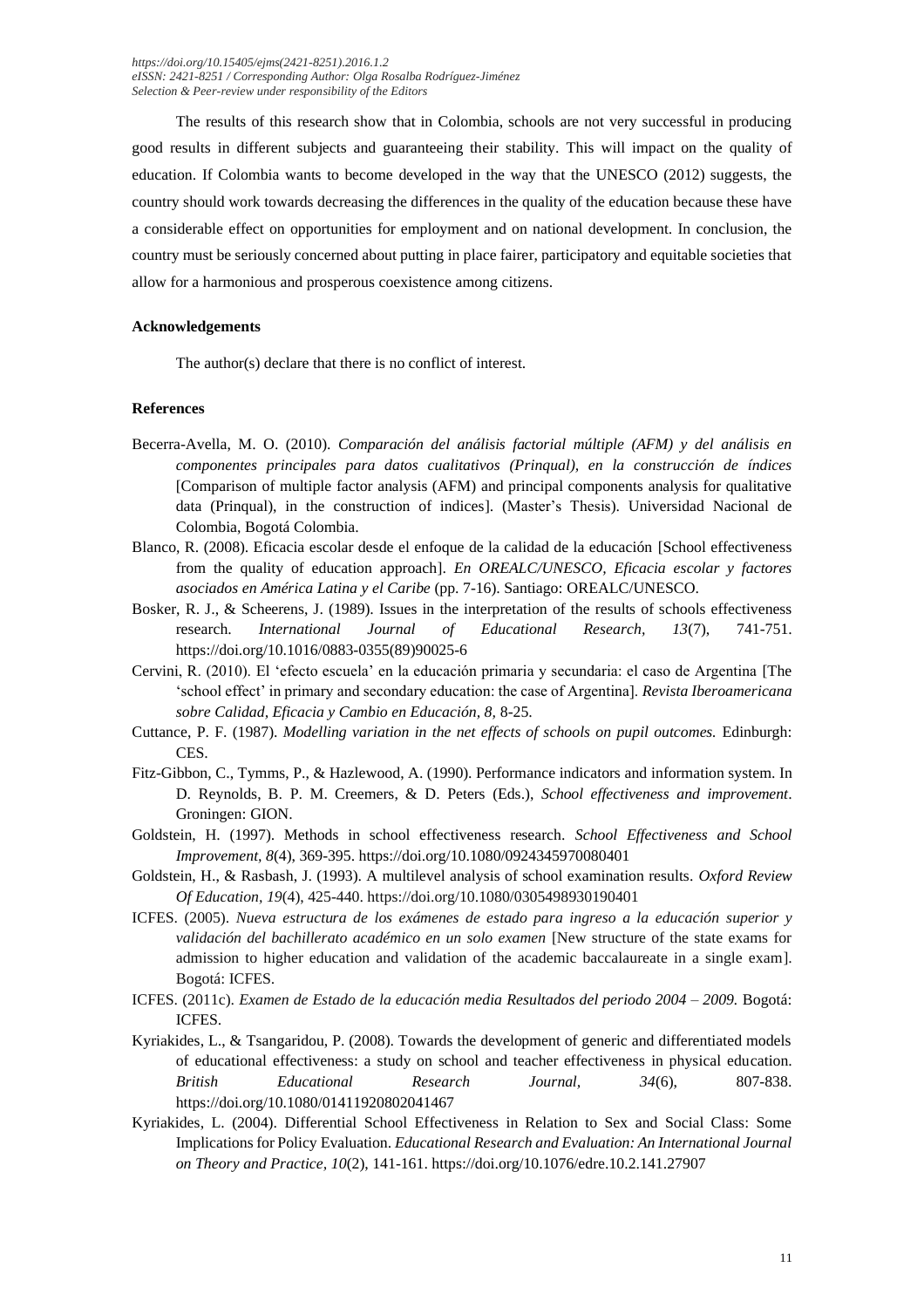The results of this research show that in Colombia, schools are not very successful in producing good results in different subjects and guaranteeing their stability. This will impact on the quality of education. If Colombia wants to become developed in the way that the UNESCO (2012) suggests, the country should work towards decreasing the differences in the quality of the education because these have a considerable effect on opportunities for employment and on national development. In conclusion, the country must be seriously concerned about putting in place fairer, participatory and equitable societies that allow for a harmonious and prosperous coexistence among citizens.

#### **Acknowledgements**

The author(s) declare that there is no conflict of interest.

#### **References**

- Becerra-Avella, M. O. (2010). *Comparación del análisis factorial múltiple (AFM) y del análisis en componentes principales para datos cualitativos (Prinqual), en la construcción de índices* [Comparison of multiple factor analysis (AFM) and principal components analysis for qualitative data (Prinqual), in the construction of indices]. (Master's Thesis). Universidad Nacional de Colombia, Bogotá Colombia.
- Blanco, R. (2008). Eficacia escolar desde el enfoque de la calidad de la educación [School effectiveness from the quality of education approach]. *En OREALC/UNESCO, Eficacia escolar y factores asociados en América Latina y el Caribe* (pp. 7-16). Santiago: OREALC/UNESCO.
- Bosker, R. J., & Scheerens, J. (1989). Issues in the interpretation of the results of schools effectiveness research. *International Journal of Educational Research, 13*(7), 741-751. https://doi.org/10.1016/0883-0355(89)90025-6
- Cervini, R. (2010). El 'efecto escuela' en la educación primaria y secundaria: el caso de Argentina [The 'school effect' in primary and secondary education: the case of Argentina]. *Revista Iberoamericana sobre Calidad, Eficacia y Cambio en Educación, 8,* 8-25.
- Cuttance, P. F. (1987). *Modelling variation in the net effects of schools on pupil outcomes.* Edinburgh: CES.
- Fitz-Gibbon, C., Tymms, P., & Hazlewood, A. (1990). Performance indicators and information system. In D. Reynolds, B. P. M. Creemers, & D. Peters (Eds.), *School effectiveness and improvement*. Groningen: GION.
- Goldstein, H. (1997). Methods in school effectiveness research. *School Effectiveness and School Improvement, 8*(4), 369-395. https://doi.org/10.1080/0924345970080401
- Goldstein, H., & Rasbash, J. (1993). A multilevel analysis of school examination results. *Oxford Review Of Education, 19*(4), 425-440. https://doi.org/10.1080/0305498930190401
- ICFES. (2005). *Nueva estructura de los exámenes de estado para ingreso a la educación superior y validación del bachillerato académico en un solo examen* [New structure of the state exams for admission to higher education and validation of the academic baccalaureate in a single exam]. Bogotá: ICFES.
- ICFES. (2011c). *Examen de Estado de la educación media Resultados del periodo 2004 – 2009.* Bogotá: ICFES.
- Kyriakides, L., & Tsangaridou, P. (2008). Towards the development of generic and differentiated models of educational effectiveness: a study on school and teacher effectiveness in physical education. *British Educational Research Journal, 34*(6), 807-838. https://doi.org/10.1080/01411920802041467
- Kyriakides, L. (2004). Differential School Effectiveness in Relation to Sex and Social Class: Some Implications for Policy Evaluation. *Educational Research and Evaluation: An International Journal on Theory and Practice, 10*(2), 141-161. https://doi.org/10.1076/edre.10.2.141.27907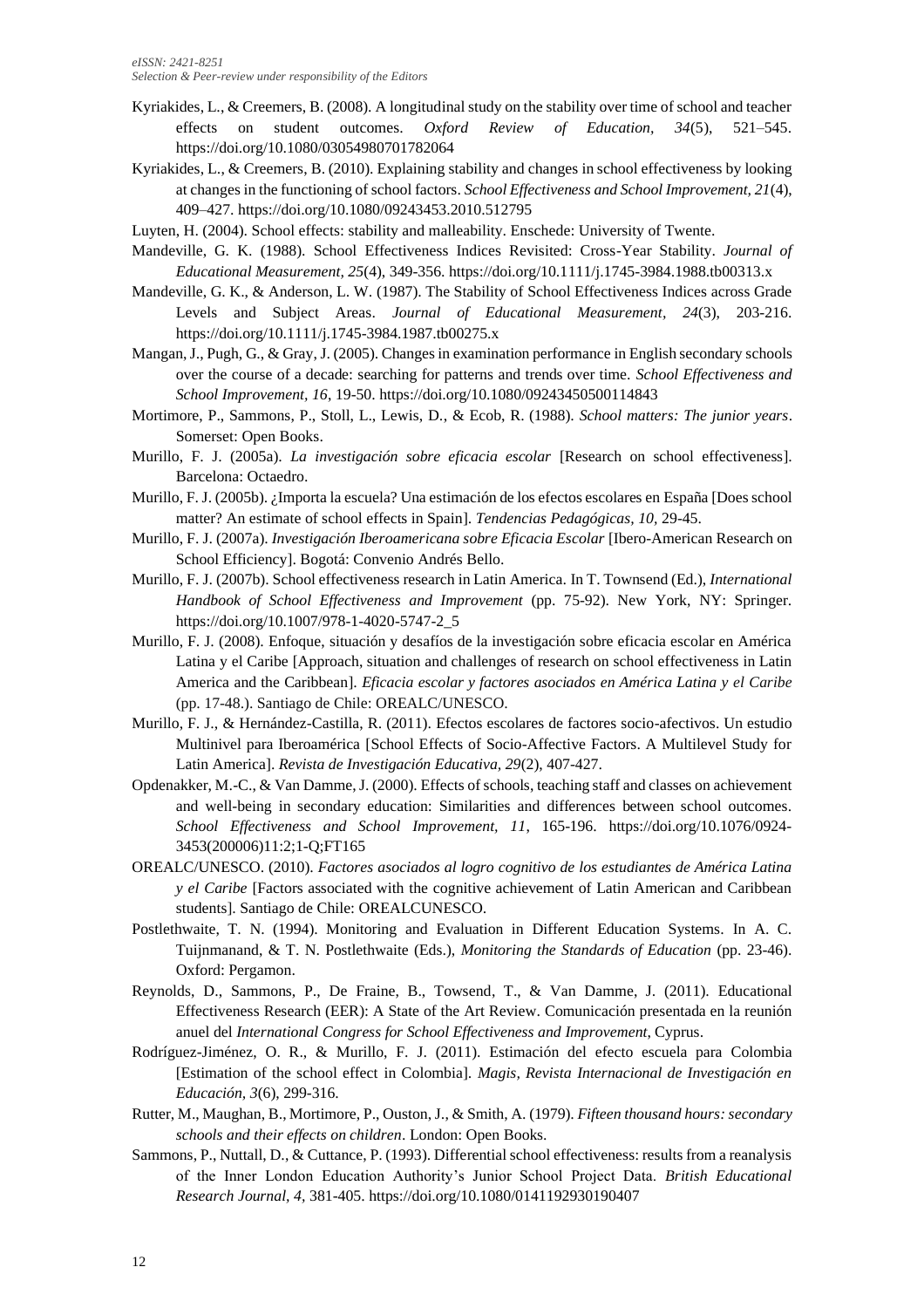- Kyriakides, L., & Creemers, B. (2008). A longitudinal study on the stability over time of school and teacher effects on student outcomes. *Oxford Review of Education, 34*(5), 521–545. https://doi.org/10.1080/03054980701782064
- Kyriakides, L., & Creemers, B. (2010). Explaining stability and changes in school effectiveness by looking at changes in the functioning of school factors. *School Effectiveness and School Improvement, 21*(4), 409–427. https://doi.org/10.1080/09243453.2010.512795
- Luyten, H. (2004). School effects: stability and malleability. Enschede: University of Twente.
- Mandeville, G. K. (1988). School Effectiveness Indices Revisited: Cross-Year Stability. *Journal of Educational Measurement, 25*(4), 349-356. https://doi.org/10.1111/j.1745-3984.1988.tb00313.x
- Mandeville, G. K., & Anderson, L. W. (1987). The Stability of School Effectiveness Indices across Grade Levels and Subject Areas. *Journal of Educational Measurement, 24*(3), 203-216. https://doi.org/10.1111/j.1745-3984.1987.tb00275.x
- Mangan, J., Pugh, G., & Gray, J. (2005). Changes in examination performance in English secondary schools over the course of a decade: searching for patterns and trends over time. *School Effectiveness and School Improvement, 16*, 19-50. https://doi.org/10.1080/09243450500114843
- Mortimore, P., Sammons, P., Stoll, L., Lewis, D., & Ecob, R. (1988). *School matters: The junior years*. Somerset: Open Books.
- Murillo, F. J. (2005a). *La investigación sobre eficacia escolar* [Research on school effectiveness]. Barcelona: Octaedro.
- Murillo, F. J. (2005b). ¿Importa la escuela? Una estimación de los efectos escolares en España [Does school matter? An estimate of school effects in Spain]. *Tendencias Pedagógicas, 10,* 29-45.
- Murillo, F. J. (2007a). *Investigación Iberoamericana sobre Eficacia Escolar* [Ibero-American Research on School Efficiency]. Bogotá: Convenio Andrés Bello.
- Murillo, F. J. (2007b). School effectiveness research in Latin America. In T. Townsend (Ed.), *International Handbook of School Effectiveness and Improvement* (pp. 75-92). New York, NY: Springer. https://doi.org/10.1007/978-1-4020-5747-2\_5
- Murillo, F. J. (2008). Enfoque, situación y desafíos de la investigación sobre eficacia escolar en América Latina y el Caribe [Approach, situation and challenges of research on school effectiveness in Latin America and the Caribbean]. *Eficacia escolar y factores asociados en América Latina y el Caribe* (pp. 17-48.). Santiago de Chile: OREALC/UNESCO.
- Murillo, F. J., & Hernández-Castilla, R. (2011). Efectos escolares de factores socio-afectivos. Un estudio Multinivel para Iberoamérica [School Effects of Socio-Affective Factors. A Multilevel Study for Latin America]. *Revista de Investigación Educativa, 29*(2), 407-427.
- Opdenakker, M.-C., & Van Damme, J. (2000). Effects of schools, teaching staff and classes on achievement and well-being in secondary education: Similarities and differences between school outcomes. *School Effectiveness and School Improvement, 11*, 165-196. https://doi.org/10.1076/0924- 3453(200006)11:2;1-Q;FT165
- OREALC/UNESCO. (2010). *Factores asociados al logro cognitivo de los estudiantes de América Latina y el Caribe* [Factors associated with the cognitive achievement of Latin American and Caribbean students]. Santiago de Chile: OREALCUNESCO.
- Postlethwaite, T. N. (1994). Monitoring and Evaluation in Different Education Systems. In A. C. Tuijnmanand, & T. N. Postlethwaite (Eds.), *Monitoring the Standards of Education* (pp. 23-46). Oxford: Pergamon.
- Reynolds, D., Sammons, P., De Fraine, B., Towsend, T., & Van Damme, J. (2011). Educational Effectiveness Research (EER): A State of the Art Review. Comunicación presentada en la reunión anuel del *International Congress for School Effectiveness and Improvement*, Cyprus.
- Rodríguez-Jiménez, O. R., & Murillo, F. J. (2011). Estimación del efecto escuela para Colombia [Estimation of the school effect in Colombia]. *Magis, Revista Internacional de Investigación en Educación, 3*(6), 299-316.
- Rutter, M., Maughan, B., Mortimore, P., Ouston, J., & Smith, A. (1979). *Fifteen thousand hours: secondary schools and their effects on children*. London: Open Books.
- Sammons, P., Nuttall, D., & Cuttance, P. (1993). Differential school effectiveness: results from a reanalysis of the Inner London Education Authority's Junior School Project Data. *British Educational Research Journal, 4,* 381-405. https://doi.org/10.1080/0141192930190407